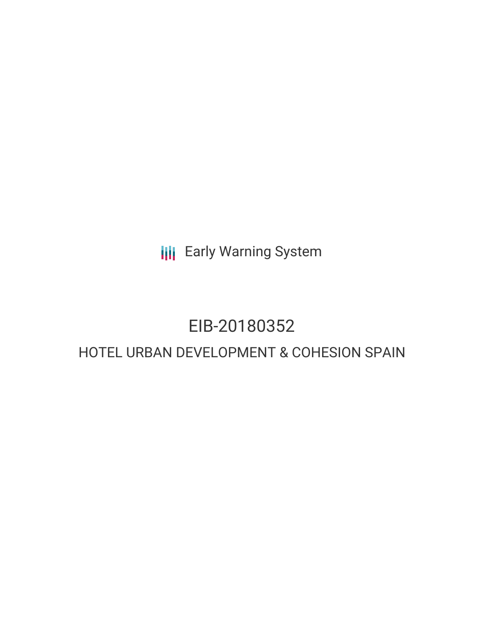**III** Early Warning System

# EIB-20180352

## HOTEL URBAN DEVELOPMENT & COHESION SPAIN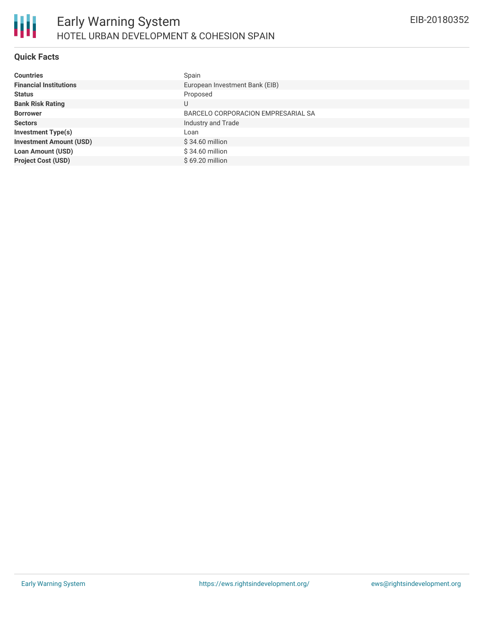### **Quick Facts**

| <b>Countries</b>               | Spain                              |
|--------------------------------|------------------------------------|
| <b>Financial Institutions</b>  | European Investment Bank (EIB)     |
| <b>Status</b>                  | Proposed                           |
| <b>Bank Risk Rating</b>        | U                                  |
| <b>Borrower</b>                | BARCELO CORPORACION EMPRESARIAL SA |
| <b>Sectors</b>                 | Industry and Trade                 |
| <b>Investment Type(s)</b>      | Loan                               |
| <b>Investment Amount (USD)</b> | $$34.60$ million                   |
| <b>Loan Amount (USD)</b>       | \$34.60 million                    |
| <b>Project Cost (USD)</b>      | $$69.20$ million                   |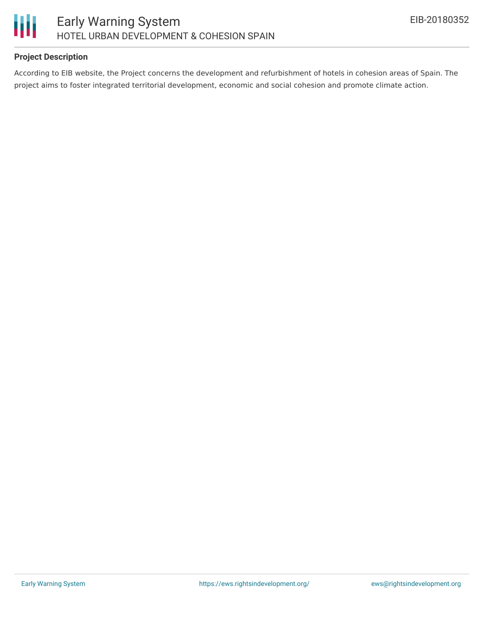

#### **Project Description**

According to EIB website, the Project concerns the development and refurbishment of hotels in cohesion areas of Spain. The project aims to foster integrated territorial development, economic and social cohesion and promote climate action.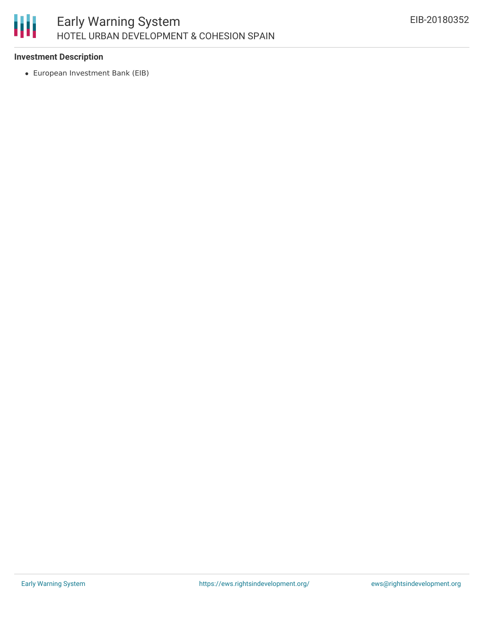

#### **Investment Description**

European Investment Bank (EIB)